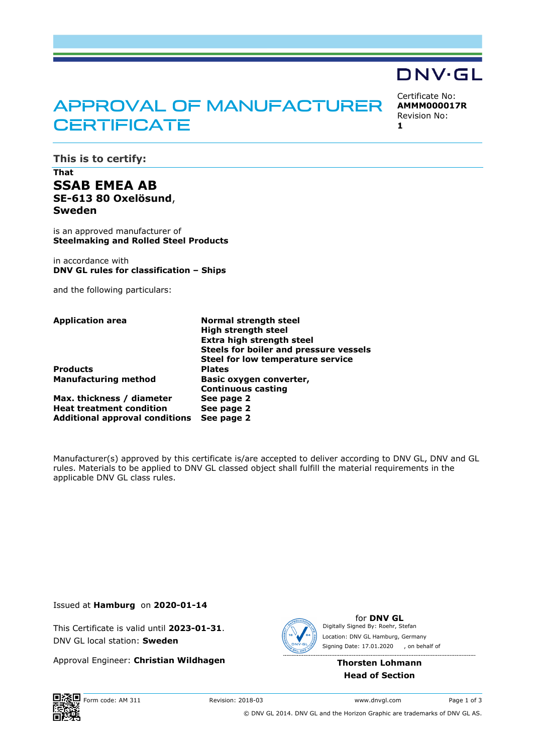# APPROVAL OF MANUFACTURER **CERTIFICATE**

Certificate No: **AMMM000017R** Revision No: **1** 

DNV·GL

**This is to certify:** 

## **That SSAB EMEA AB SE-613 80 Oxelösund**, **Sweden**

is an approved manufacturer of **Steelmaking and Rolled Steel Products**

in accordance with **DNV GL rules for classification – Ships**

and the following particulars:

**Products** 

**Max. thickness / diameter See page 2 Heat treatment condition See page 2 Additional approval conditions See page 2**

**Application area Normal strength steel High strength steel Extra high strength steel Steels for boiler and pressure vessels Steel for low temperature service Manufacturing method Basic oxygen converter, Continuous casting** 

Manufacturer(s) approved by this certificate is/are accepted to deliver according to DNV GL, DNV and GL rules. Materials to be applied to DNV GL classed object shall fulfill the material requirements in the applicable DNV GL class rules.

Issued at **Hamburg** on **2020-01-14**

This Certificate is valid until **2023-01-31**. DNV GL local station: **Sweden**

Approval Engineer: **Christian Wildhagen**



for **DNV GL** Signing Date: 17.01.2020 , on behalf ofDigitally Signed By: Roehr, Stefan Location: DNV GL Hamburg, Germany

### **Thorsten Lohmann Head of Section**



© DNV GL 2014. DNV GL and the Horizon Graphic are trademarks of DNV GL AS.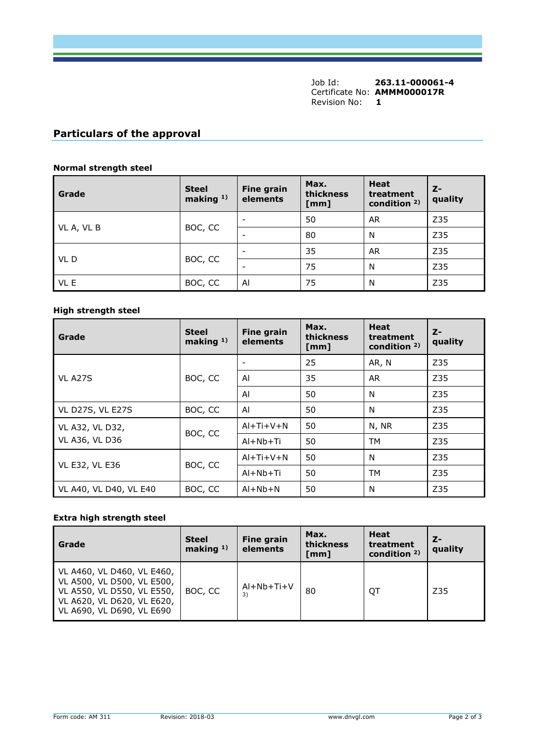Job Id: **263.11-000061-4** Certificate No: **AMMM000017R** Revision No: **1** 

## **Particulars of the approval**

#### **Normal strength steel**

| Grade      | <b>Steel</b><br>making $1$ ) | <b>Fine grain</b><br>elements | Max.<br>thickness<br>[mm] | <b>Heat</b><br>treatment<br>condition $2$ ) | $Z-$<br>quality |
|------------|------------------------------|-------------------------------|---------------------------|---------------------------------------------|-----------------|
| VL A, VL B |                              | $\overline{\phantom{0}}$      | 50                        | <b>AR</b>                                   | Z35             |
|            | BOC, CC                      | -                             | 80                        | N                                           | Z35             |
| VL D       | BOC, CC                      | -                             | 35                        | <b>AR</b>                                   | Z35             |
|            |                              | $\overline{\phantom{0}}$      | 75                        | N                                           | Z35             |
| VL E       | BOC, CC                      | Al                            | 75                        | N                                           | Z35             |

#### **High strength steel**

| Grade                                    | <b>Steel</b><br>making $1$ ) | <b>Fine grain</b><br>elements | Max.<br>thickness<br>[mm] | <b>Heat</b><br>treatment<br>condition $2$ ) | $Z-$<br>quality |
|------------------------------------------|------------------------------|-------------------------------|---------------------------|---------------------------------------------|-----------------|
| <b>VL A27S</b>                           |                              |                               | 25                        | AR, N                                       | Z35             |
|                                          | BOC, CC                      | Al                            | 35                        | <b>AR</b>                                   | Z35             |
|                                          |                              | Al                            | 50                        | N                                           | Z35             |
| VL D27S, VL E27S                         | BOC, CC                      | Al                            | 50                        | N                                           | Z35             |
| VL A32, VL D32,<br><b>VL A36, VL D36</b> | BOC, CC                      | $AI+Ti+V+N$                   | 50                        | N, NR                                       | Z35             |
|                                          |                              | $AI + Nb + Ti$                | 50                        | TM                                          | Z35             |
| <b>VL E32, VL E36</b>                    |                              | $AI+Ti+V+N$                   | 50                        | N                                           | Z35             |
|                                          | BOC, CC                      | $AI + Nb + Ti$                | 50                        | TM                                          | Z35             |
| VL A40, VL D40, VL E40                   | BOC, CC                      | $AI + Nb + N$                 | 50                        | N                                           | Z35             |

#### **Extra high strength steel**

| Grade                                                                                                                                             | <b>Steel</b><br>making $1$ ) | <b>Fine grain</b><br>elements | Max.<br>thickness<br>[mm] | Heat<br>treatment<br>condition $2$ ) | $Z-$<br>quality |
|---------------------------------------------------------------------------------------------------------------------------------------------------|------------------------------|-------------------------------|---------------------------|--------------------------------------|-----------------|
| VL A460, VL D460, VL E460,<br>VL A500, VL D500, VL E500,<br>VL A550, VL D550, VL E550,<br>VL A620, VL D620, VL E620,<br>VL A690, VL D690, VL E690 | BOC, CC                      | $Al+Nb+Ti+V$<br>3)            | 80                        | QT                                   | Z35             |